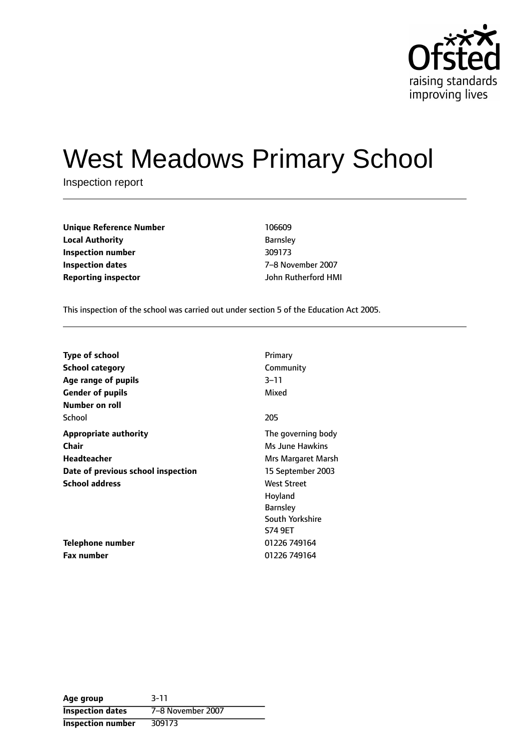

# West Meadows Primary School

Inspection report

| <b>Unique Reference Number</b> | 106609         |
|--------------------------------|----------------|
| <b>Local Authority</b>         | <b>Barnsle</b> |
| Inspection number              | 309173         |
| Inspection dates               | 7-8 No         |
| Reporting inspector            | John Ri        |

**Barnsley Inspection number** 309173 **Inspection dates** 78 November 2007 **Reporting inspector** John Rutherford HMI

This inspection of the school was carried out under section 5 of the Education Act 2005.

| <b>Type of school</b>              | Primary            |
|------------------------------------|--------------------|
| <b>School category</b>             | Community          |
| Age range of pupils                | $3 - 11$           |
| <b>Gender of pupils</b>            | Mixed              |
| Number on roll                     |                    |
| School                             | 205                |
| <b>Appropriate authority</b>       | The governing body |
| Chair                              | Ms June Hawkins    |
| Headteacher                        | Mrs Margaret Marsh |
| Date of previous school inspection | 15 September 2003  |
| <b>School address</b>              | <b>West Street</b> |
|                                    | Hoyland            |
|                                    | <b>Barnsley</b>    |
|                                    | South Yorkshire    |
|                                    | S74 9ET            |
| Telephone number                   | 01226 749164       |
| <b>Fax number</b>                  | 01226 749164       |

**Age group** 3-11 **Inspection dates** 7-8 November 2007 **Inspection number** 309173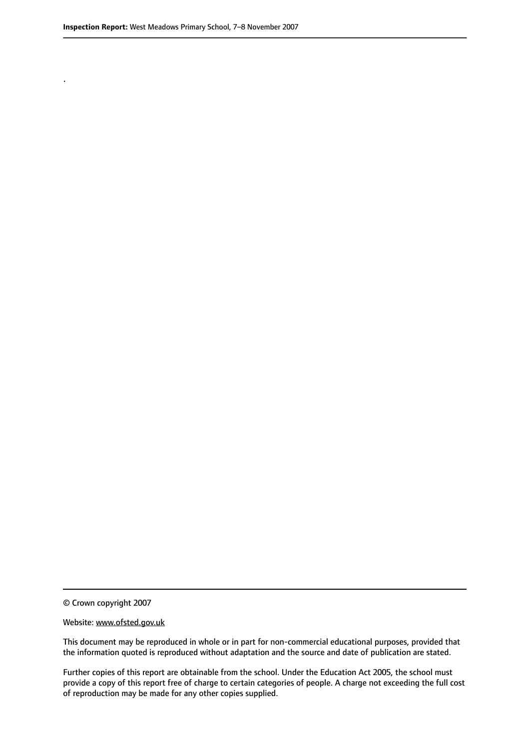.

© Crown copyright 2007

#### Website: www.ofsted.gov.uk

This document may be reproduced in whole or in part for non-commercial educational purposes, provided that the information quoted is reproduced without adaptation and the source and date of publication are stated.

Further copies of this report are obtainable from the school. Under the Education Act 2005, the school must provide a copy of this report free of charge to certain categories of people. A charge not exceeding the full cost of reproduction may be made for any other copies supplied.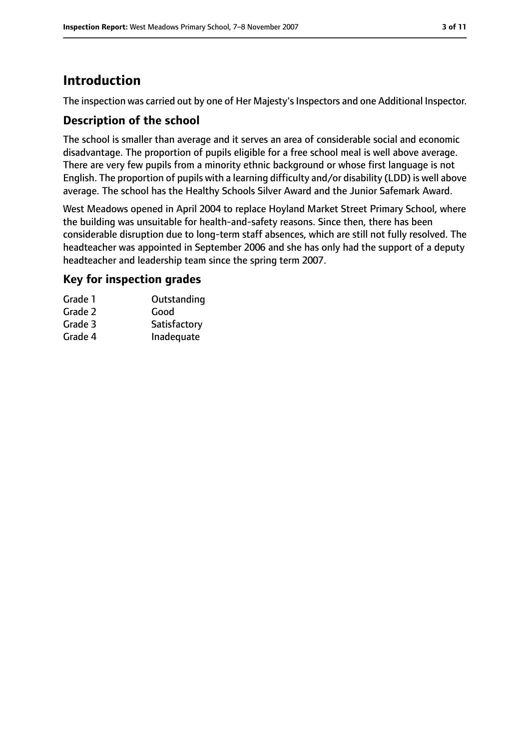## **Introduction**

The inspection was carried out by one of Her Majesty's Inspectors and one Additional Inspector.

## **Description of the school**

The school is smaller than average and it serves an area of considerable social and economic disadvantage. The proportion of pupils eligible for a free school meal is well above average. There are very few pupils from a minority ethnic background or whose first language is not English. The proportion of pupils with a learning difficulty and/or disability (LDD) is well above average. The school has the Healthy Schools Silver Award and the Junior Safemark Award.

West Meadows opened in April 2004 to replace Hoyland Market Street Primary School, where the building was unsuitable for health-and-safety reasons. Since then, there has been considerable disruption due to long-term staff absences, which are still not fully resolved. The headteacher was appointed in September 2006 and she has only had the support of a deputy headteacher and leadership team since the spring term 2007.

## **Key for inspection grades**

| Grade 1 | Outstanding  |
|---------|--------------|
| Grade 2 | Good         |
| Grade 3 | Satisfactory |
| Grade 4 | Inadequate   |
|         |              |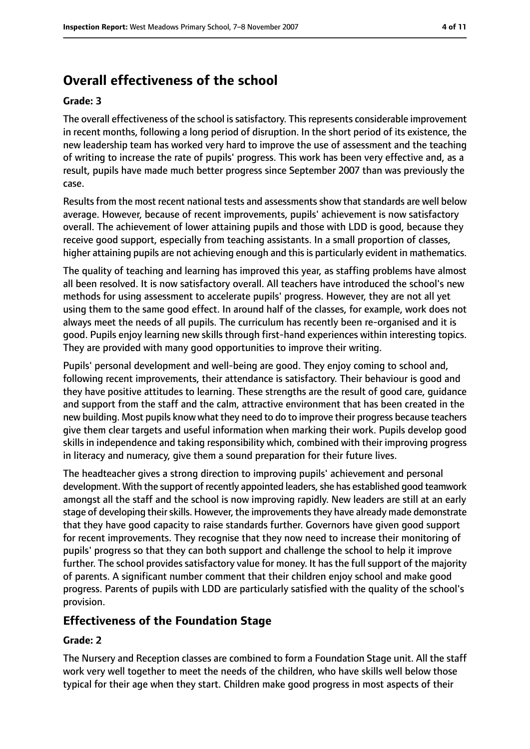# **Overall effectiveness of the school**

#### **Grade: 3**

The overall effectiveness of the school is satisfactory. This represents considerable improvement in recent months, following a long period of disruption. In the short period of its existence, the new leadership team has worked very hard to improve the use of assessment and the teaching of writing to increase the rate of pupils' progress. This work has been very effective and, as a result, pupils have made much better progress since September 2007 than was previously the case.

Results from the most recent national tests and assessments show that standards are well below average. However, because of recent improvements, pupils' achievement is now satisfactory overall. The achievement of lower attaining pupils and those with LDD is good, because they receive good support, especially from teaching assistants. In a small proportion of classes, higher attaining pupils are not achieving enough and this is particularly evident in mathematics.

The quality of teaching and learning has improved this year, as staffing problems have almost all been resolved. It is now satisfactory overall. All teachers have introduced the school's new methods for using assessment to accelerate pupils' progress. However, they are not all yet using them to the same good effect. In around half of the classes, for example, work does not always meet the needs of all pupils. The curriculum has recently been re-organised and it is good. Pupils enjoy learning new skills through first-hand experiences within interesting topics. They are provided with many good opportunities to improve their writing.

Pupils' personal development and well-being are good. They enjoy coming to school and, following recent improvements, their attendance is satisfactory. Their behaviour is good and they have positive attitudes to learning. These strengths are the result of good care, guidance and support from the staff and the calm, attractive environment that has been created in the new building. Most pupils know what they need to do to improve their progress because teachers give them clear targets and useful information when marking their work. Pupils develop good skills in independence and taking responsibility which, combined with their improving progress in literacy and numeracy, give them a sound preparation for their future lives.

The headteacher gives a strong direction to improving pupils' achievement and personal development. With the support of recently appointed leaders, she has established good teamwork amongst all the staff and the school is now improving rapidly. New leaders are still at an early stage of developing their skills. However, the improvements they have already made demonstrate that they have good capacity to raise standards further. Governors have given good support for recent improvements. They recognise that they now need to increase their monitoring of pupils' progress so that they can both support and challenge the school to help it improve further. The school provides satisfactory value for money. It has the full support of the majority of parents. A significant number comment that their children enjoy school and make good progress. Parents of pupils with LDD are particularly satisfied with the quality of the school's provision.

#### **Effectiveness of the Foundation Stage**

#### **Grade: 2**

The Nursery and Reception classes are combined to form a Foundation Stage unit. All the staff work very well together to meet the needs of the children, who have skills well below those typical for their age when they start. Children make good progress in most aspects of their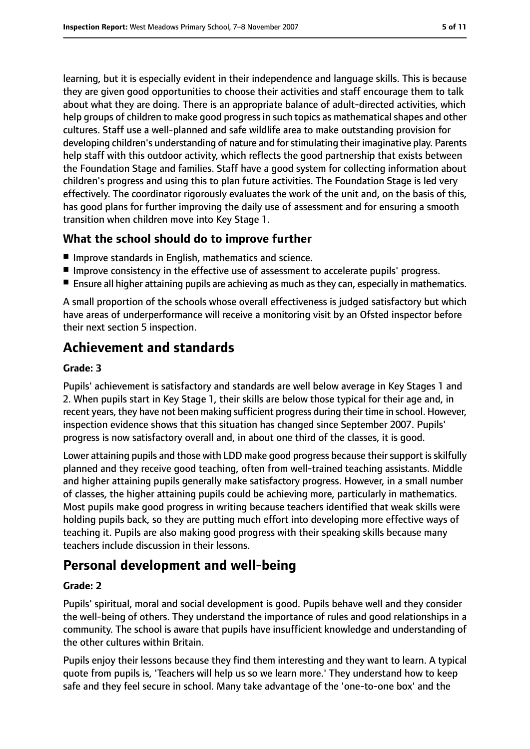learning, but it is especially evident in their independence and language skills. This is because they are given good opportunities to choose their activities and staff encourage them to talk about what they are doing. There is an appropriate balance of adult-directed activities, which help groups of children to make good progress in such topics as mathematical shapes and other cultures. Staff use a well-planned and safe wildlife area to make outstanding provision for developing children's understanding of nature and for stimulating their imaginative play. Parents help staff with this outdoor activity, which reflects the good partnership that exists between the Foundation Stage and families. Staff have a good system for collecting information about children's progress and using this to plan future activities. The Foundation Stage is led very effectively. The coordinator rigorously evaluates the work of the unit and, on the basis of this, has good plans for further improving the daily use of assessment and for ensuring a smooth transition when children move into Key Stage 1.

## **What the school should do to improve further**

- Improve standards in English, mathematics and science.
- Improve consistency in the effective use of assessment to accelerate pupils' progress.
- Ensure all higher attaining pupils are achieving as much as they can, especially in mathematics.

A small proportion of the schools whose overall effectiveness is judged satisfactory but which have areas of underperformance will receive a monitoring visit by an Ofsted inspector before their next section 5 inspection.

## **Achievement and standards**

#### **Grade: 3**

Pupils' achievement is satisfactory and standards are well below average in Key Stages 1 and 2. When pupils start in Key Stage 1, their skills are below those typical for their age and, in recent years, they have not been making sufficient progress during their time in school. However, inspection evidence shows that this situation has changed since September 2007. Pupils' progress is now satisfactory overall and, in about one third of the classes, it is good.

Lower attaining pupils and those with LDD make good progress because their support is skilfully planned and they receive good teaching, often from well-trained teaching assistants. Middle and higher attaining pupils generally make satisfactory progress. However, in a small number of classes, the higher attaining pupils could be achieving more, particularly in mathematics. Most pupils make good progress in writing because teachers identified that weak skills were holding pupils back, so they are putting much effort into developing more effective ways of teaching it. Pupils are also making good progress with their speaking skills because many teachers include discussion in their lessons.

## **Personal development and well-being**

#### **Grade: 2**

Pupils' spiritual, moral and social development is good. Pupils behave well and they consider the well-being of others. They understand the importance of rules and good relationships in a community. The school is aware that pupils have insufficient knowledge and understanding of the other cultures within Britain.

Pupils enjoy their lessons because they find them interesting and they want to learn. A typical quote from pupils is, 'Teachers will help us so we learn more.' They understand how to keep safe and they feel secure in school. Many take advantage of the 'one-to-one box' and the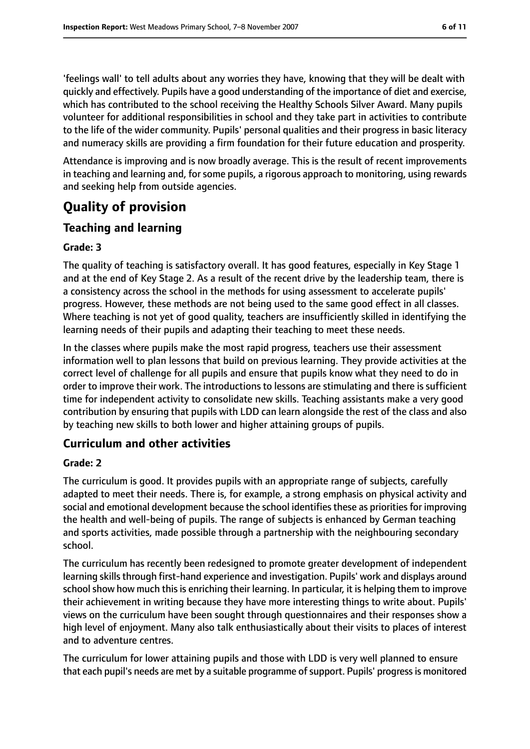'feelings wall' to tell adults about any worries they have, knowing that they will be dealt with quickly and effectively. Pupils have a good understanding of the importance of diet and exercise, which has contributed to the school receiving the Healthy Schools Silver Award. Many pupils volunteer for additional responsibilities in school and they take part in activities to contribute to the life of the wider community. Pupils' personal qualities and their progress in basic literacy and numeracy skills are providing a firm foundation for their future education and prosperity.

Attendance is improving and is now broadly average. This is the result of recent improvements in teaching and learning and, for some pupils, a rigorous approach to monitoring, using rewards and seeking help from outside agencies.

# **Quality of provision**

## **Teaching and learning**

#### **Grade: 3**

The quality of teaching is satisfactory overall. It has good features, especially in Key Stage 1 and at the end of Key Stage 2. As a result of the recent drive by the leadership team, there is a consistency across the school in the methods for using assessment to accelerate pupils' progress. However, these methods are not being used to the same good effect in all classes. Where teaching is not yet of good quality, teachers are insufficiently skilled in identifying the learning needs of their pupils and adapting their teaching to meet these needs.

In the classes where pupils make the most rapid progress, teachers use their assessment information well to plan lessons that build on previous learning. They provide activities at the correct level of challenge for all pupils and ensure that pupils know what they need to do in order to improve their work. The introductions to lessons are stimulating and there is sufficient time for independent activity to consolidate new skills. Teaching assistants make a very good contribution by ensuring that pupils with LDD can learn alongside the rest of the class and also by teaching new skills to both lower and higher attaining groups of pupils.

## **Curriculum and other activities**

#### **Grade: 2**

The curriculum is good. It provides pupils with an appropriate range of subjects, carefully adapted to meet their needs. There is, for example, a strong emphasis on physical activity and social and emotional development because the school identifies these as priorities for improving the health and well-being of pupils. The range of subjects is enhanced by German teaching and sports activities, made possible through a partnership with the neighbouring secondary school.

The curriculum has recently been redesigned to promote greater development of independent learning skills through first-hand experience and investigation. Pupils' work and displays around school show how much this is enriching their learning. In particular, it is helping them to improve their achievement in writing because they have more interesting things to write about. Pupils' views on the curriculum have been sought through questionnaires and their responses show a high level of enjoyment. Many also talk enthusiastically about their visits to places of interest and to adventure centres.

The curriculum for lower attaining pupils and those with LDD is very well planned to ensure that each pupil's needs are met by a suitable programme of support. Pupils' progress is monitored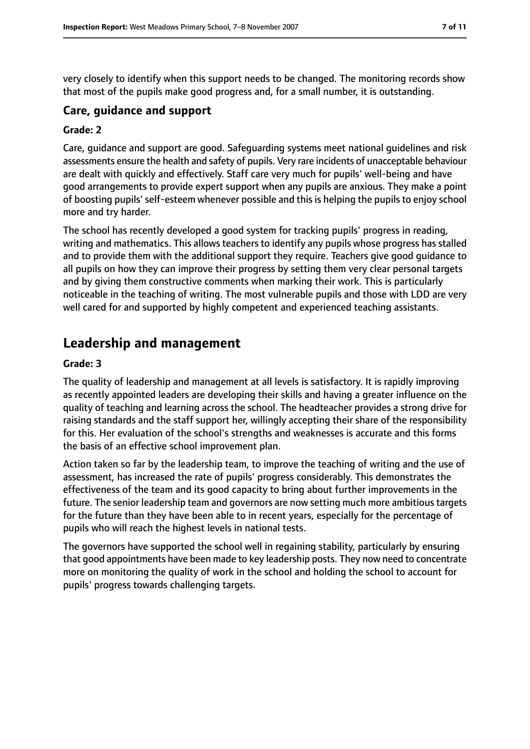very closely to identify when this support needs to be changed. The monitoring records show that most of the pupils make good progress and, for a small number, it is outstanding.

#### **Care, guidance and support**

#### **Grade: 2**

Care, guidance and support are good. Safeguarding systems meet national guidelines and risk assessments ensure the health and safety of pupils. Very rare incidents of unacceptable behaviour are dealt with quickly and effectively. Staff care very much for pupils' well-being and have good arrangements to provide expert support when any pupils are anxious. They make a point of boosting pupils' self-esteem whenever possible and this is helping the pupils to enjoy school more and try harder.

The school has recently developed a good system for tracking pupils' progress in reading, writing and mathematics. This allows teachers to identify any pupils whose progress has stalled and to provide them with the additional support they require. Teachers give good guidance to all pupils on how they can improve their progress by setting them very clear personal targets and by giving them constructive comments when marking their work. This is particularly noticeable in the teaching of writing. The most vulnerable pupils and those with LDD are very well cared for and supported by highly competent and experienced teaching assistants.

## **Leadership and management**

#### **Grade: 3**

The quality of leadership and management at all levels is satisfactory. It is rapidly improving as recently appointed leaders are developing their skills and having a greater influence on the quality of teaching and learning across the school. The headteacher provides a strong drive for raising standards and the staff support her, willingly accepting their share of the responsibility for this. Her evaluation of the school's strengths and weaknesses is accurate and this forms the basis of an effective school improvement plan.

Action taken so far by the leadership team, to improve the teaching of writing and the use of assessment, has increased the rate of pupils' progress considerably. This demonstrates the effectiveness of the team and its good capacity to bring about further improvements in the future. The senior leadership team and governors are now setting much more ambitious targets for the future than they have been able to in recent years, especially for the percentage of pupils who will reach the highest levels in national tests.

The governors have supported the school well in regaining stability, particularly by ensuring that good appointments have been made to key leadership posts. They now need to concentrate more on monitoring the quality of work in the school and holding the school to account for pupils' progress towards challenging targets.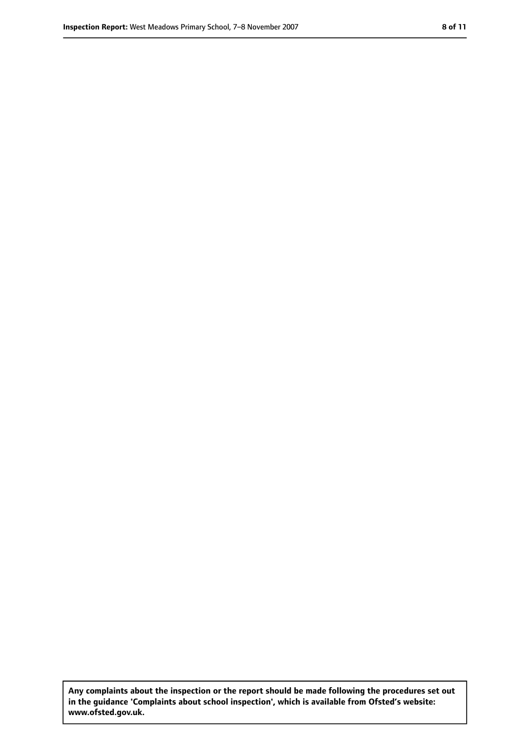**Any complaints about the inspection or the report should be made following the procedures set out in the guidance 'Complaints about school inspection', which is available from Ofsted's website: www.ofsted.gov.uk.**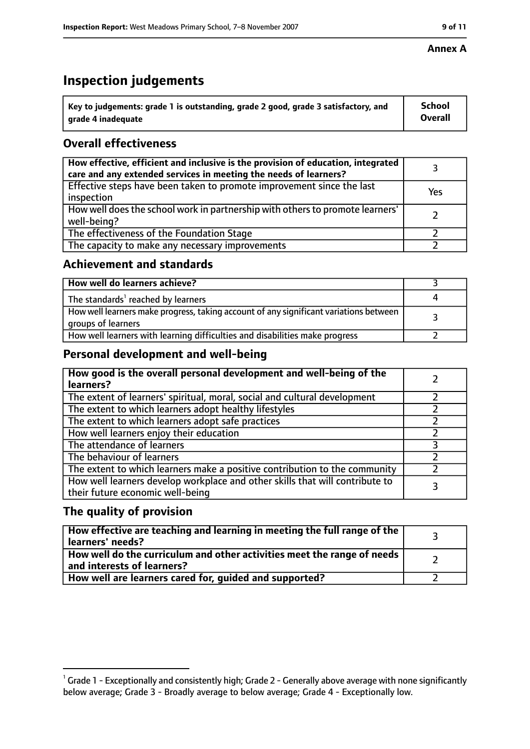# **Inspection judgements**

| $^{\backprime}$ Key to judgements: grade 1 is outstanding, grade 2 good, grade 3 satisfactory, and | <b>School</b>  |
|----------------------------------------------------------------------------------------------------|----------------|
| arade 4 inadeguate                                                                                 | <b>Overall</b> |

## **Overall effectiveness**

| How effective, efficient and inclusive is the provision of education, integrated<br>care and any extended services in meeting the needs of learners? |     |
|------------------------------------------------------------------------------------------------------------------------------------------------------|-----|
| Effective steps have been taken to promote improvement since the last<br>inspection                                                                  | Yes |
| How well does the school work in partnership with others to promote learners'<br>well-being?                                                         |     |
| The effectiveness of the Foundation Stage                                                                                                            |     |
| The capacity to make any necessary improvements                                                                                                      |     |

## **Achievement and standards**

| How well do learners achieve?                                                                               |  |
|-------------------------------------------------------------------------------------------------------------|--|
| The standards <sup>1</sup> reached by learners                                                              |  |
| How well learners make progress, taking account of any significant variations between<br>groups of learners |  |
| How well learners with learning difficulties and disabilities make progress                                 |  |

## **Personal development and well-being**

| How good is the overall personal development and well-being of the<br>learners?                                  |  |
|------------------------------------------------------------------------------------------------------------------|--|
| The extent of learners' spiritual, moral, social and cultural development                                        |  |
| The extent to which learners adopt healthy lifestyles                                                            |  |
| The extent to which learners adopt safe practices                                                                |  |
| How well learners enjoy their education                                                                          |  |
| The attendance of learners                                                                                       |  |
| The behaviour of learners                                                                                        |  |
| The extent to which learners make a positive contribution to the community                                       |  |
| How well learners develop workplace and other skills that will contribute to<br>their future economic well-being |  |

## **The quality of provision**

| How effective are teaching and learning in meeting the full range of the<br>learners' needs?          |  |
|-------------------------------------------------------------------------------------------------------|--|
| How well do the curriculum and other activities meet the range of needs<br>and interests of learners? |  |
| How well are learners cared for, guided and supported?                                                |  |

 $^1$  Grade 1 - Exceptionally and consistently high; Grade 2 - Generally above average with none significantly below average; Grade 3 - Broadly average to below average; Grade 4 - Exceptionally low.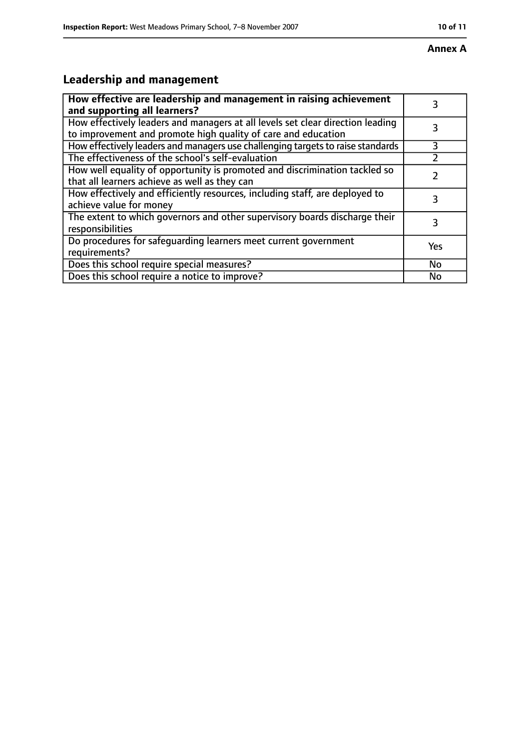# **Leadership and management**

| How effective are leadership and management in raising achievement<br>and supporting all learners?                                              | 3   |
|-------------------------------------------------------------------------------------------------------------------------------------------------|-----|
| How effectively leaders and managers at all levels set clear direction leading<br>to improvement and promote high quality of care and education |     |
| How effectively leaders and managers use challenging targets to raise standards                                                                 | 3   |
| The effectiveness of the school's self-evaluation                                                                                               |     |
| How well equality of opportunity is promoted and discrimination tackled so<br>that all learners achieve as well as they can                     |     |
| How effectively and efficiently resources, including staff, are deployed to<br>achieve value for money                                          | 3   |
| The extent to which governors and other supervisory boards discharge their<br>responsibilities                                                  | 3   |
| Do procedures for safequarding learners meet current government<br>requirements?                                                                | Yes |
| Does this school require special measures?                                                                                                      | No  |
| Does this school require a notice to improve?                                                                                                   | No  |